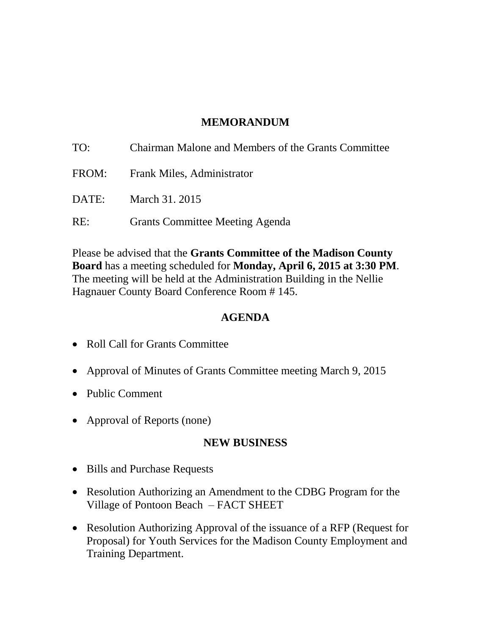### **MEMORANDUM**

| TO: | Chairman Malone and Members of the Grants Committee |
|-----|-----------------------------------------------------|
|     | FROM: Frank Miles, Administrator                    |
|     | <b>DATE:</b> March 31, 2015                         |
| RE: | <b>Grants Committee Meeting Agenda</b>              |

Please be advised that the **Grants Committee of the Madison County Board** has a meeting scheduled for **Monday, April 6, 2015 at 3:30 PM**. The meeting will be held at the Administration Building in the Nellie Hagnauer County Board Conference Room # 145.

#### **AGENDA**

- Roll Call for Grants Committee
- Approval of Minutes of Grants Committee meeting March 9, 2015
- Public Comment
- Approval of Reports (none)

### **NEW BUSINESS**

- Bills and Purchase Requests
- Resolution Authorizing an Amendment to the CDBG Program for the Village of Pontoon Beach – FACT SHEET
- Resolution Authorizing Approval of the issuance of a RFP (Request for Proposal) for Youth Services for the Madison County Employment and Training Department.